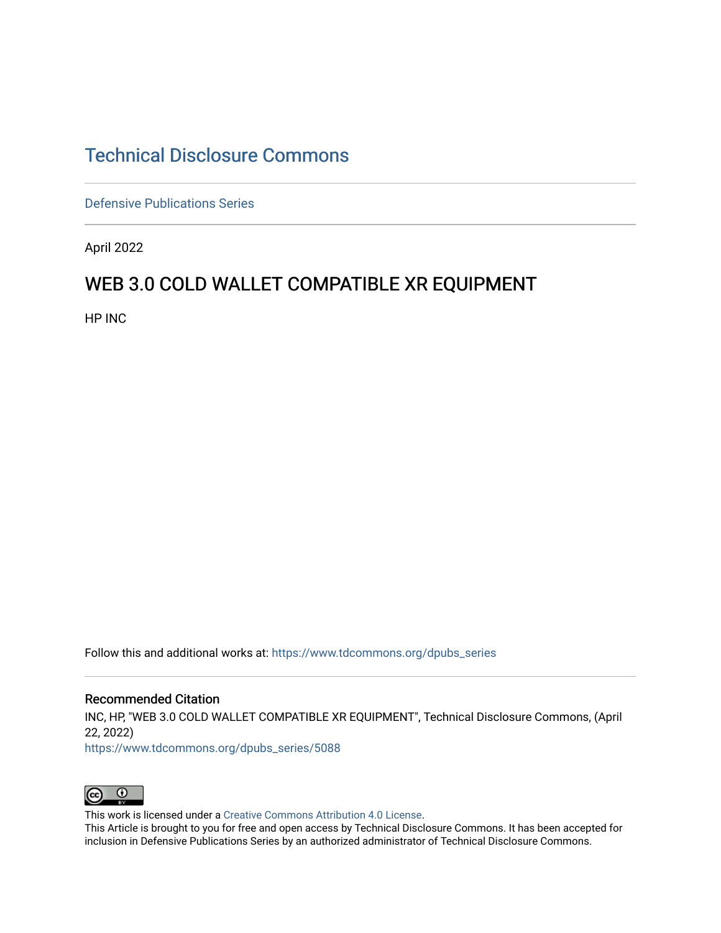## [Technical Disclosure Commons](https://www.tdcommons.org/)

[Defensive Publications Series](https://www.tdcommons.org/dpubs_series)

April 2022

## WEB 3.0 COLD WALLET COMPATIBLE XR EQUIPMENT

HP INC

Follow this and additional works at: [https://www.tdcommons.org/dpubs\\_series](https://www.tdcommons.org/dpubs_series?utm_source=www.tdcommons.org%2Fdpubs_series%2F5088&utm_medium=PDF&utm_campaign=PDFCoverPages) 

Recommended Citation INC, HP, "WEB 3.0 COLD WALLET COMPATIBLE XR EQUIPMENT", Technical Disclosure Commons, (April 22, 2022) [https://www.tdcommons.org/dpubs\\_series/5088](https://www.tdcommons.org/dpubs_series/5088?utm_source=www.tdcommons.org%2Fdpubs_series%2F5088&utm_medium=PDF&utm_campaign=PDFCoverPages)



This work is licensed under a [Creative Commons Attribution 4.0 License](http://creativecommons.org/licenses/by/4.0/deed.en_US).

This Article is brought to you for free and open access by Technical Disclosure Commons. It has been accepted for inclusion in Defensive Publications Series by an authorized administrator of Technical Disclosure Commons.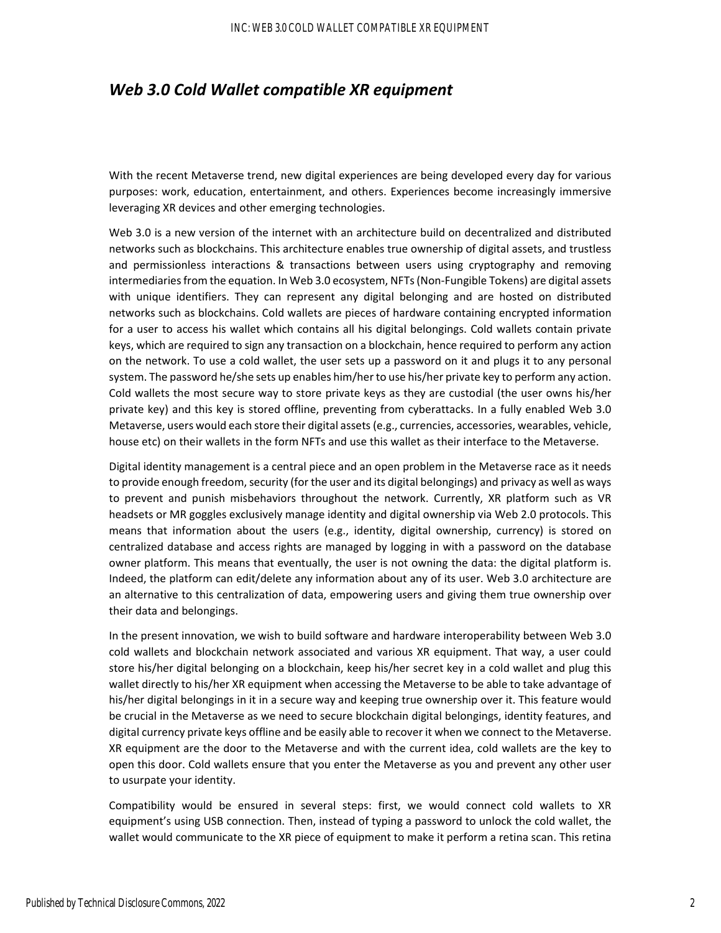## *Web 3.0 Cold Wallet compatible XR equipment*

With the recent Metaverse trend, new digital experiences are being developed every day for various purposes: work, education, entertainment, and others. Experiences become increasingly immersive leveraging XR devices and other emerging technologies.

Web 3.0 is a new version of the internet with an architecture build on decentralized and distributed networks such as blockchains. This architecture enables true ownership of digital assets, and trustless and permissionless interactions & transactions between users using cryptography and removing intermediaries from the equation. In Web 3.0 ecosystem, NFTs (Non-Fungible Tokens) are digital assets with unique identifiers. They can represent any digital belonging and are hosted on distributed networks such as blockchains. Cold wallets are pieces of hardware containing encrypted information for a user to access his wallet which contains all his digital belongings. Cold wallets contain private keys, which are required to sign any transaction on a blockchain, hence required to perform any action on the network. To use a cold wallet, the user sets up a password on it and plugs it to any personal system. The password he/she sets up enables him/her to use his/her private key to perform any action. Cold wallets the most secure way to store private keys as they are custodial (the user owns his/her private key) and this key is stored offline, preventing from cyberattacks. In a fully enabled Web 3.0 Metaverse, users would each store their digital assets(e.g., currencies, accessories, wearables, vehicle, house etc) on their wallets in the form NFTs and use this wallet as their interface to the Metaverse.

Digital identity management is a central piece and an open problem in the Metaverse race as it needs to provide enough freedom, security (for the user and its digital belongings) and privacy as well as ways to prevent and punish misbehaviors throughout the network. Currently, XR platform such as VR headsets or MR goggles exclusively manage identity and digital ownership via Web 2.0 protocols. This means that information about the users (e.g., identity, digital ownership, currency) is stored on centralized database and access rights are managed by logging in with a password on the database owner platform. This means that eventually, the user is not owning the data: the digital platform is. Indeed, the platform can edit/delete any information about any of its user. Web 3.0 architecture are an alternative to this centralization of data, empowering users and giving them true ownership over their data and belongings.

In the present innovation, we wish to build software and hardware interoperability between Web 3.0 cold wallets and blockchain network associated and various XR equipment. That way, a user could store his/her digital belonging on a blockchain, keep his/her secret key in a cold wallet and plug this wallet directly to his/her XR equipment when accessing the Metaverse to be able to take advantage of his/her digital belongings in it in a secure way and keeping true ownership over it. This feature would be crucial in the Metaverse as we need to secure blockchain digital belongings, identity features, and digital currency private keys offline and be easily able to recover it when we connect to the Metaverse. XR equipment are the door to the Metaverse and with the current idea, cold wallets are the key to open this door. Cold wallets ensure that you enter the Metaverse as you and prevent any other user to usurpate your identity.

Compatibility would be ensured in several steps: first, we would connect cold wallets to XR equipment's using USB connection. Then, instead of typing a password to unlock the cold wallet, the wallet would communicate to the XR piece of equipment to make it perform a retina scan. This retina